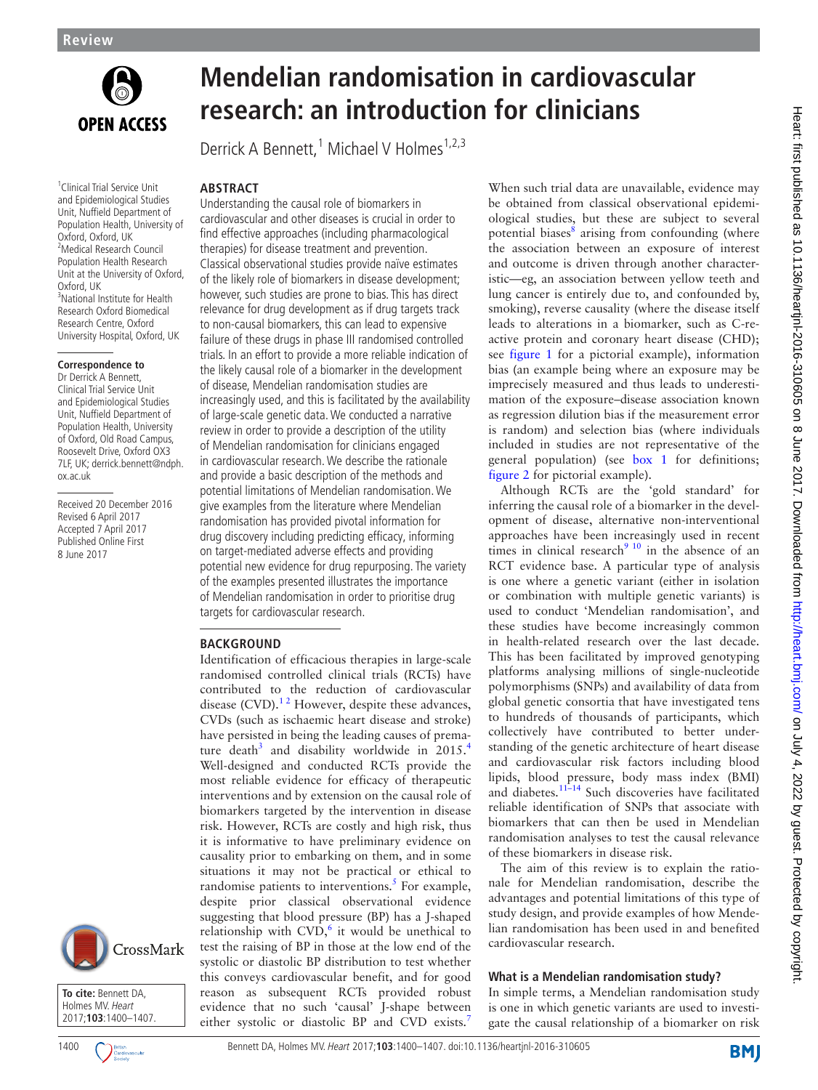

1 Clinical Trial Service Unit and Epidemiological Studies Unit, Nuffield Department of Population Health, University of Oxford, Oxford, UK <sup>2</sup>Medical Research Council Population Health Research Unit at the University of Oxford, Oxford, UK 3 National Institute for Health Research Oxford Biomedical Research Centre, Oxford University Hospital, Oxford, UK

## **Correspondence to**

Dr Derrick A Bennett, Clinical Trial Service Unit and Epidemiological Studies Unit, Nuffield Department of Population Health, University of Oxford, Old Road Campus, Roosevelt Drive, Oxford OX3 7LF, UK; derrick.bennett@ndph. ox.ac.uk

Received 20 December 2016 Revised 6 April 2017 Accepted 7 April 2017 Published Online First 8 June 2017





# **Mendelian randomisation in cardiovascular research: an introduction for clinicians**

Derrick A Bennett,<sup>1</sup> Michael V Holmes<sup>1,2,3</sup>

## **Abstract**

Understanding the causal role of biomarkers in cardiovascular and other diseases is crucial in order to find effective approaches (including pharmacological therapies) for disease treatment and prevention. Classical observational studies provide naïve estimates of the likely role of biomarkers in disease development; however, such studies are prone to bias. This has direct relevance for drug development as if drug targets track to non-causal biomarkers, this can lead to expensive failure of these drugs in phase III randomised controlled trials. In an effort to provide a more reliable indication of the likely causal role of a biomarker in the development of disease, Mendelian randomisation studies are increasingly used, and this is facilitated by the availability of large-scale genetic data. We conducted a narrative review in order to provide a description of the utility of Mendelian randomisation for clinicians engaged in cardiovascular research. We describe the rationale and provide a basic description of the methods and potential limitations of Mendelian randomisation. We give examples from the literature where Mendelian randomisation has provided pivotal information for drug discovery including predicting efficacy, informing on target-mediated adverse effects and providing potential new evidence for drug repurposing. The variety of the examples presented illustrates the importance of Mendelian randomisation in order to prioritise drug targets for cardiovascular research.

## **BACKGROUND**

Identification of efficacious therapies in large-scale randomised controlled clinical trials (RCTs) have contributed to the reduction of cardiovascular disease  $(CVD)$ .<sup>12</sup> However, despite these advances, CVDs (such as ischaemic heart disease and stroke) have persisted in being the leading causes of prema-ture death<sup>[3](#page-6-1)</sup> and disability worldwide in 2015.<sup>[4](#page-6-2)</sup> Well-designed and conducted RCTs provide the most reliable evidence for efficacy of therapeutic interventions and by extension on the causal role of biomarkers targeted by the intervention in disease risk. However, RCTs are costly and high risk, thus it is informative to have preliminary evidence on causality prior to embarking on them, and in some situations it may not be practical or ethical to randomise patients to interventions.<sup>[5](#page-6-3)</sup> For example, despite prior classical observational evidence suggesting that blood pressure (BP) has a J-shaped relationship with  $CVD<sub>1</sub><sup>6</sup>$  $CVD<sub>1</sub><sup>6</sup>$  $CVD<sub>1</sub><sup>6</sup>$  it would be unethical to test the raising of BP in those at the low end of the systolic or diastolic BP distribution to test whether this conveys cardiovascular benefit, and for good reason as subsequent RCTs provided robust evidence that no such 'causal' J-shape between either systolic or diastolic BP and CVD exists.<sup>[7](#page-6-5)</sup>

When such trial data are unavailable, evidence may be obtained from classical observational epidemiological studies, but these are subject to several potential biases<sup>[8](#page-6-6)</sup> arising from confounding (where the association between an exposure of interest and outcome is driven through another characteristic—eg, an association between yellow teeth and lung cancer is entirely due to, and confounded by, smoking), reverse causality (where the disease itself leads to alterations in a biomarker, such as C-reactive protein and coronary heart disease (CHD); see [figure](#page-1-0) 1 for a pictorial example), information bias (an example being where an exposure may be imprecisely measured and thus leads to underestimation of the exposure–disease association known as regression dilution bias if the measurement error is random) and selection bias (where individuals included in studies are not representative of the general population) (see [box](#page-1-1) 1 for definitions; [figure](#page-2-0) 2 for pictorial example).

Although RCTs are the 'gold standard' for inferring the causal role of a biomarker in the development of disease, alternative non-interventional approaches have been increasingly used in recent times in clinical research<sup>[9 10](#page-6-7)</sup> in the absence of an RCT evidence base. A particular type of analysis is one where a genetic variant (either in isolation or combination with multiple genetic variants) is used to conduct 'Mendelian randomisation', and these studies have become increasingly common in health-related research over the last decade. This has been facilitated by improved genotyping platforms analysing millions of single-nucleotide polymorphisms (SNPs) and availability of data from global genetic consortia that have investigated tens to hundreds of thousands of participants, which collectively have contributed to better understanding of the genetic architecture of heart disease and cardiovascular risk factors including blood lipids, blood pressure, body mass index (BMI) and diabetes.<sup>11-14</sup> Such discoveries have facilitated reliable identification of SNPs that associate with biomarkers that can then be used in Mendelian randomisation analyses to test the causal relevance of these biomarkers in disease risk.

The aim of this review is to explain the rationale for Mendelian randomisation, describe the advantages and potential limitations of this type of study design, and provide examples of how Mendelian randomisation has been used in and benefited cardiovascular research.

## **What is a Mendelian randomisation study?**

In simple terms, a Mendelian randomisation study is one in which genetic variants are used to investigate the causal relationship of a biomarker on risk

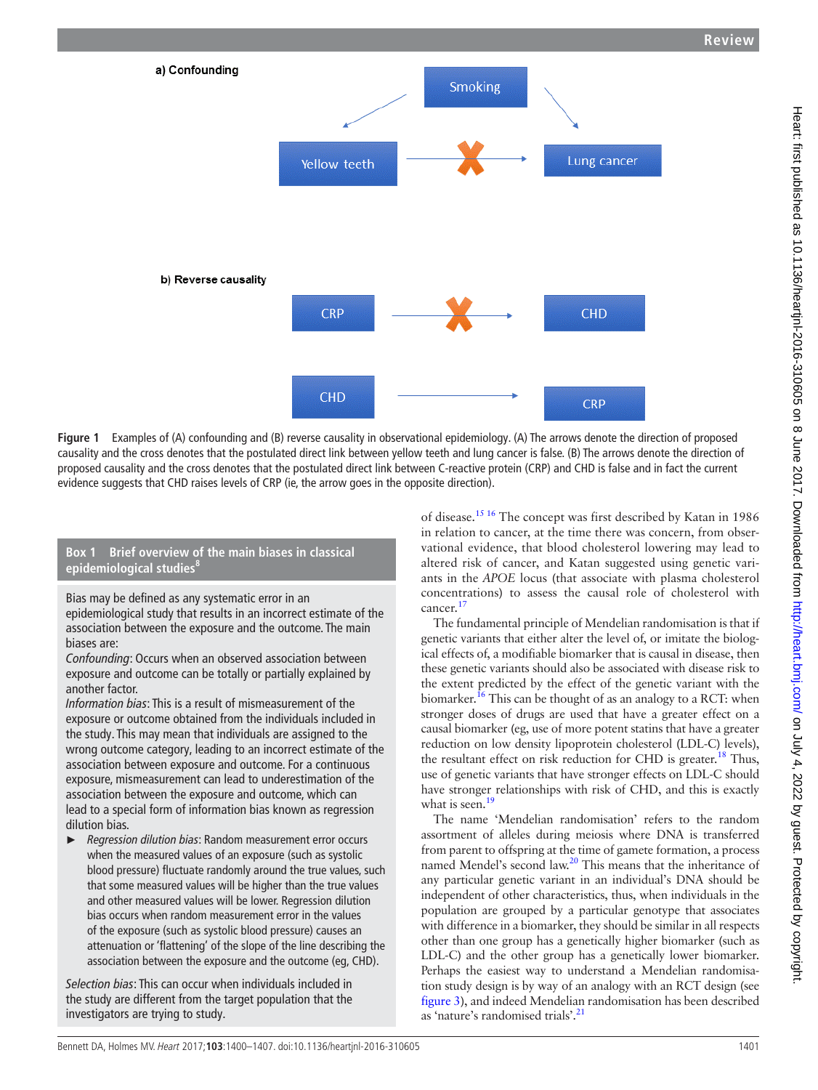

<span id="page-1-0"></span>**Figure 1** Examples of (A) confounding and (B) reverse causality in observational epidemiology. (A) The arrows denote the direction of proposed causality and the cross denotes that the postulated direct link between yellow teeth and lung cancer is false. (B) The arrows denote the direction of proposed causality and the cross denotes that the postulated direct link between C-reactive protein (CRP) and CHD is false and in fact the current evidence suggests that CHD raises levels of CRP (ie, the arrow goes in the opposite direction).

## **Box 1 Brief overview of the main biases in classical epidemiological studie[s8](#page-6-6)**

<span id="page-1-1"></span>Bias may be defined as any systematic error in an

epidemiological study that results in an incorrect estimate of the association between the exposure and the outcome. The main biases are:

*Confounding*: Occurs when an observed association between exposure and outcome can be totally or partially explained by another factor.

*Information bias*: This is a result of mismeasurement of the exposure or outcome obtained from the individuals included in the study. This may mean that individuals are assigned to the wrong outcome category, leading to an incorrect estimate of the association between exposure and outcome. For a continuous exposure, mismeasurement can lead to underestimation of the association between the exposure and outcome, which can lead to a special form of information bias known as regression dilution bias.

► *Regression dilution bias*: Random measurement error occurs when the measured values of an exposure (such as systolic blood pressure) fluctuate randomly around the true values, such that some measured values will be higher than the true values and other measured values will be lower. Regression dilution bias occurs when random measurement error in the values of the exposure (such as systolic blood pressure) causes an attenuation or 'flattening' of the slope of the line describing the association between the exposure and the outcome (eg, CHD).

*Selection bias*: This can occur when individuals included in the study are different from the target population that the investigators are trying to study.

of disease[.15 16](#page-6-9) The concept was first described by Katan in 1986 in relation to cancer, at the time there was concern, from observational evidence, that blood cholesterol lowering may lead to altered risk of cancer, and Katan suggested using genetic variants in the *APOE* locus (that associate with plasma cholesterol concentrations) to assess the causal role of cholesterol with cancer.[17](#page-6-10)

The fundamental principle of Mendelian randomisation is that if genetic variants that either alter the level of, or imitate the biological effects of, a modifiable biomarker that is causal in disease, then these genetic variants should also be associated with disease risk to the extent predicted by the effect of the genetic variant with the biomarker.<sup>16</sup> This can be thought of as an analogy to a RCT: when stronger doses of drugs are used that have a greater effect on a causal biomarker (eg, use of more potent statins that have a greater reduction on low density lipoprotein cholesterol (LDL-C) levels), the resultant effect on risk reduction for CHD is greater.<sup>[18](#page-6-12)</sup> Thus, use of genetic variants that have stronger effects on LDL-C should have stronger relationships with risk of CHD, and this is exactly what is seen.<sup>19</sup>

The name 'Mendelian randomisation' refers to the random assortment of alleles during meiosis where DNA is transferred from parent to offspring at the time of gamete formation, a process named Mendel's second law.<sup>[20](#page-6-14)</sup> This means that the inheritance of any particular genetic variant in an individual's DNA should be independent of other characteristics, thus, when individuals in the population are grouped by a particular genotype that associates with difference in a biomarker, they should be similar in all respects other than one group has a genetically higher biomarker (such as LDL-C) and the other group has a genetically lower biomarker. Perhaps the easiest way to understand a Mendelian randomisation study design is by way of an analogy with an RCT design (see [figure](#page-2-1) 3), and indeed Mendelian randomisation has been described as 'nature's randomised trials'.[21](#page-6-15)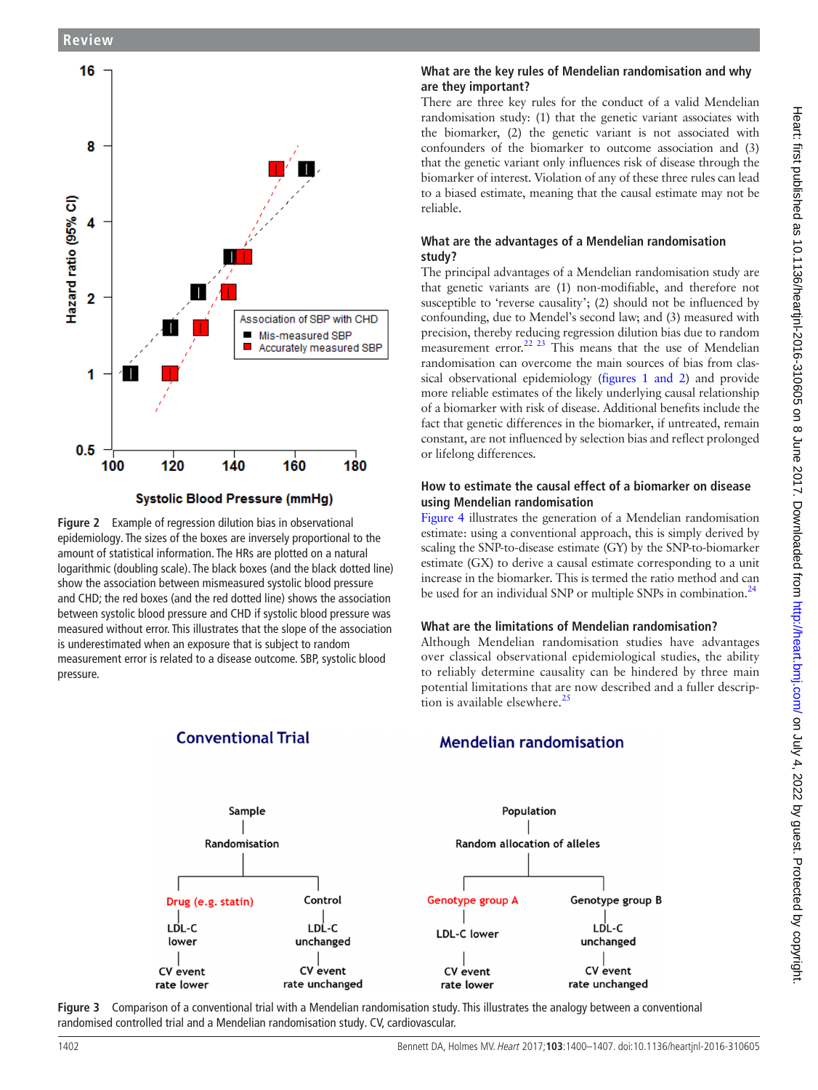

**Systolic Blood Pressure (mmHg)** 

<span id="page-2-0"></span>**Figure 2** Example of regression dilution bias in observational epidemiology. The sizes of the boxes are inversely proportional to the amount of statistical information. The HRs are plotted on a natural logarithmic (doubling scale). The black boxes (and the black dotted line) show the association between mismeasured systolic blood pressure and CHD; the red boxes (and the red dotted line) shows the association between systolic blood pressure and CHD if systolic blood pressure was measured without error. This illustrates that the slope of the association is underestimated when an exposure that is subject to random measurement error is related to a disease outcome. SBP, systolic blood pressure.

**Conventional Trial** 

## **What are the key rules of Mendelian randomisation and why are they important?**

There are three key rules for the conduct of a valid Mendelian randomisation study: (1) that the genetic variant associates with the biomarker, (2) the genetic variant is not associated with confounders of the biomarker to outcome association and (3) that the genetic variant only influences risk of disease through the biomarker of interest. Violation of any of these three rules can lead to a biased estimate, meaning that the causal estimate may not be reliable.

## **What are the advantages of a Mendelian randomisation study?**

The principal advantages of a Mendelian randomisation study are that genetic variants are (1) non-modifiable, and therefore not susceptible to 'reverse causality'; (2) should not be influenced by confounding, due to Mendel's second law; and (3) measured with precision, thereby reducing regression dilution bias due to random measurement error.<sup>[22 23](#page-6-16)</sup> This means that the use of Mendelian randomisation can overcome the main sources of bias from classical observational epidemiology (figures [1 and 2](#page-1-0)) and provide more reliable estimates of the likely underlying causal relationship of a biomarker with risk of disease. Additional benefits include the fact that genetic differences in the biomarker, if untreated, remain constant, are not influenced by selection bias and reflect prolonged or lifelong differences.

## **How to estimate the causal effect of a biomarker on disease using Mendelian randomisation**

[Figure](#page-3-0) 4 illustrates the generation of a Mendelian randomisation estimate: using a conventional approach, this is simply derived by scaling the SNP-to-disease estimate (GY) by the SNP-to-biomarker estimate (GX) to derive a causal estimate corresponding to a unit increase in the biomarker. This is termed the ratio method and can be used for an individual SNP or multiple SNPs in combination.<sup>[24](#page-6-17)</sup>

## **What are the limitations of Mendelian randomisation?**

Although Mendelian randomisation studies have advantages over classical observational epidemiological studies, the ability to reliably determine causality can be hindered by three main potential limitations that are now described and a fuller description is available elsewhere. $25$ 

# **Mendelian randomisation**



<span id="page-2-1"></span>**Figure 3** Comparison of a conventional trial with a Mendelian randomisation study. This illustrates the analogy between a conventional randomised controlled trial and a Mendelian randomisation study. CV, cardiovascular.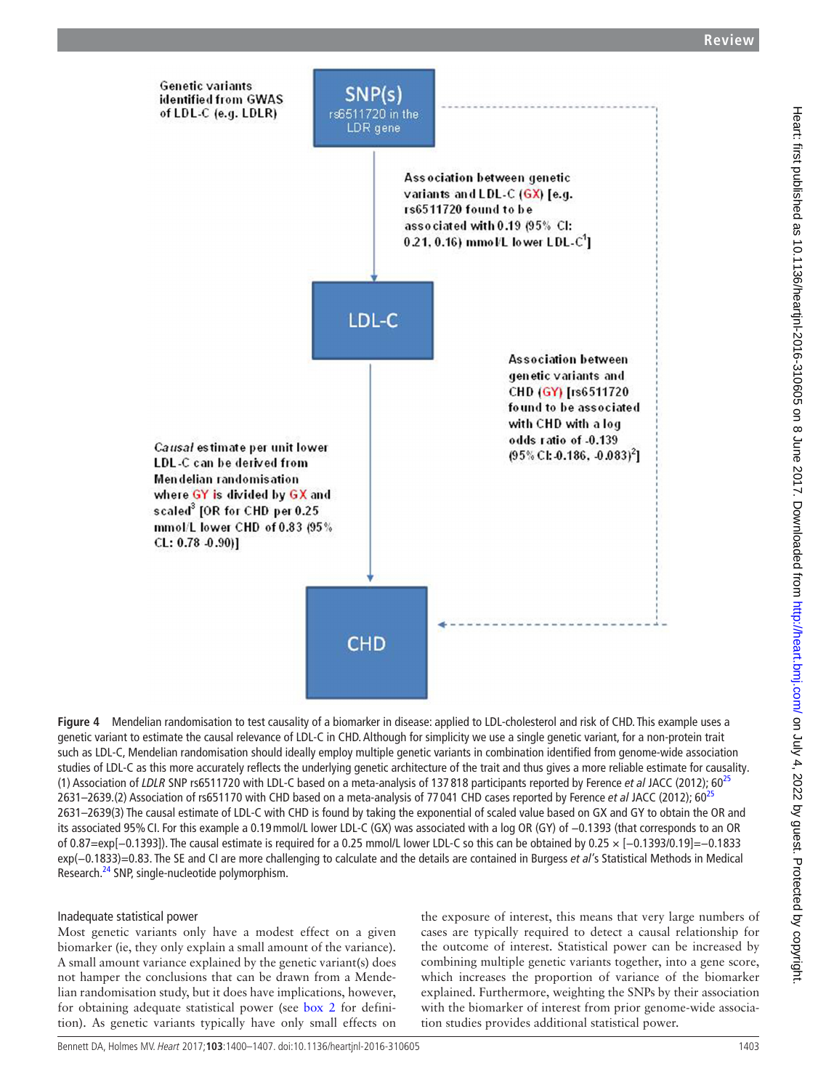

<span id="page-3-0"></span>**Figure 4** Mendelian randomisation to test causality of a biomarker in disease: applied to LDL-cholesterol and risk of CHD. This example uses a genetic variant to estimate the causal relevance of LDL-C in CHD. Although for simplicity we use a single genetic variant, for a non-protein trait such as LDL-C, Mendelian randomisation should ideally employ multiple genetic variants in combination identified from genome-wide association studies of LDL-C as this more accurately reflects the underlying genetic architecture of the trait and thus gives a more reliable estimate for causality. (1) Association of *LDLR* SNP rs6511720 with LDL-C based on a meta-analysis of 137 818 participants reported by Ference *et al* JACC (2012); 60[25](#page-6-18) 2631–2639.(2) Association of rs651170 with CHD based on a meta-analysis of 77 041 CHD cases reported by Ference *et al* JACC (2012); 60[25](#page-6-18) 2631–2639(3) The causal estimate of LDL-C with CHD is found by taking the exponential of scaled value based on GX and GY to obtain the OR and its associated 95%CI. For this example a 0.19mmol/L lower LDL-C (GX) was associated with a log OR (GY) of −0.1393 (that corresponds to an OR of 0.87=exp[−0.1393]). The causal estimate is required for a 0.25 mmol/L lower LDL-C so this can be obtained by 0.25 × [−0.1393/0.19]=−0.1833 exp(−0.1833)=0.83. The SE and CI are more challenging to calculate and the details are contained in Burgess *et al'*s Statistical Methods in Medical Research.[24](#page-6-17) SNP, single-nucleotide polymorphism.

#### Inadequate statistical power

Most genetic variants only have a modest effect on a given biomarker (ie, they only explain a small amount of the variance). A small amount variance explained by the genetic variant(s) does not hamper the conclusions that can be drawn from a Mendelian randomisation study, but it does have implications, however, for obtaining adequate statistical power (see [box](#page-4-0) 2 for definition). As genetic variants typically have only small effects on

the exposure of interest, this means that very large numbers of cases are typically required to detect a causal relationship for the outcome of interest. Statistical power can be increased by combining multiple genetic variants together, into a gene score, which increases the proportion of variance of the biomarker explained. Furthermore, weighting the SNPs by their association with the biomarker of interest from prior genome-wide association studies provides additional statistical power.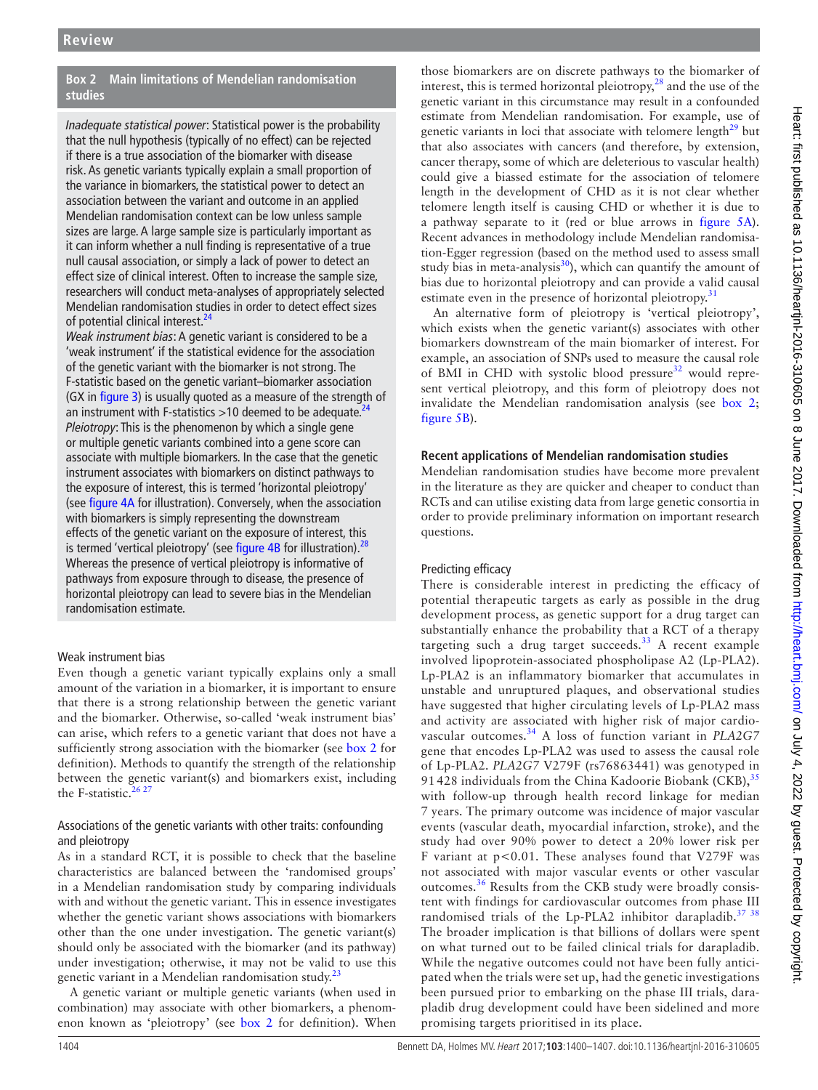#### **Box 2 Main limitations of Mendelian randomisation studies**

<span id="page-4-0"></span>*Inadequate statistical power*: Statistical power is the probability that the null hypothesis (typically of no effect) can be rejected if there is a true association of the biomarker with disease risk. As genetic variants typically explain a small proportion of the variance in biomarkers, the statistical power to detect an association between the variant and outcome in an applied Mendelian randomisation context can be low unless sample sizes are large. A large sample size is particularly important as it can inform whether a null finding is representative of a true null causal association, or simply a lack of power to detect an effect size of clinical interest. Often to increase the sample size, researchers will conduct meta-analyses of appropriately selected Mendelian randomisation studies in order to detect effect sizes of potential clinical interest.<sup>24</sup>

*Weak instrument bias*: A genetic variant is considered to be a 'weak instrument' if the statistical evidence for the association of the genetic variant with the biomarker is not strong. The F-statistic based on the genetic variant–biomarker association (GX in [figure 3\)](#page-2-1) is usually quoted as a measure of the strength of an instrument with F-statistics  $>10$  deemed to be adequate.<sup>[24](#page-6-17)</sup> *Pleiotropy*: This is the phenomenon by which a single gene or multiple genetic variants combined into a gene score can associate with multiple biomarkers. In the case that the genetic instrument associates with biomarkers on distinct pathways to the exposure of interest, this is termed 'horizontal pleiotropy' (see [figure 4A](#page-3-0) for illustration). Conversely, when the association with biomarkers is simply representing the downstream effects of the genetic variant on the exposure of interest, this is termed 'vertical pleiotropy' (see [figure 4B](#page-3-0) for illustration).  $28$ Whereas the presence of vertical pleiotropy is informative of pathways from exposure through to disease, the presence of horizontal pleiotropy can lead to severe bias in the Mendelian randomisation estimate.

## Weak instrument bias

Even though a genetic variant typically explains only a small amount of the variation in a biomarker, it is important to ensure that there is a strong relationship between the genetic variant and the biomarker. Otherwise, so-called 'weak instrument bias' can arise, which refers to a genetic variant that does not have a sufficiently strong association with the biomarker (see [box](#page-4-0) 2 for definition). Methods to quantify the strength of the relationship between the genetic variant(s) and biomarkers exist, including the F-statistic. $26\frac{27}{27}$ 

## Associations of the genetic variants with other traits: confounding and pleiotropy

As in a standard RCT, it is possible to check that the baseline characteristics are balanced between the 'randomised groups' in a Mendelian randomisation study by comparing individuals with and without the genetic variant. This in essence investigates whether the genetic variant shows associations with biomarkers other than the one under investigation. The genetic variant(s) should only be associated with the biomarker (and its pathway) under investigation; otherwise, it may not be valid to use this genetic variant in a Mendelian randomisation study.<sup>[23](#page-6-20)</sup>

A genetic variant or multiple genetic variants (when used in combination) may associate with other biomarkers, a phenomenon known as 'pleiotropy' (see [box](#page-4-0) 2 for definition). When

those biomarkers are on discrete pathways to the biomarker of interest, this is termed horizontal pleiotropy, $^{28}$  $^{28}$  $^{28}$  and the use of the genetic variant in this circumstance may result in a confounded estimate from Mendelian randomisation. For example, use of genetic variants in loci that associate with telomere length $^{29}$  but that also associates with cancers (and therefore, by extension, cancer therapy, some of which are deleterious to vascular health) could give a biassed estimate for the association of telomere length in the development of CHD as it is not clear whether telomere length itself is causing CHD or whether it is due to a pathway separate to it (red or blue arrows in [figure](#page-5-0) 5A). Recent advances in methodology include Mendelian randomisation-Egger regression (based on the method used to assess small study bias in meta-analysis $30$ , which can quantify the amount of bias due to horizontal pleiotropy and can provide a valid causal estimate even in the presence of horizontal pleiotropy.<sup>[31](#page-6-24)</sup>

An alternative form of pleiotropy is 'vertical pleiotropy', which exists when the genetic variant(s) associates with other biomarkers downstream of the main biomarker of interest. For example, an association of SNPs used to measure the causal role of BMI in CHD with systolic blood pressure $32$  would represent vertical pleiotropy, and this form of pleiotropy does not invalidate the Mendelian randomisation analysis (see [box](#page-4-0) 2; [figure](#page-5-0) 5B).

## **Recent applications of Mendelian randomisation studies**

Mendelian randomisation studies have become more prevalent in the literature as they are quicker and cheaper to conduct than RCTs and can utilise existing data from large genetic consortia in order to provide preliminary information on important research questions.

## Predicting efficacy

There is considerable interest in predicting the efficacy of potential therapeutic targets as early as possible in the drug development process, as genetic support for a drug target can substantially enhance the probability that a RCT of a therapy targeting such a drug target succeeds.<sup>[33](#page-6-26)</sup> A recent example involved lipoprotein-associated phospholipase A2 (Lp-PLA2). Lp-PLA2 is an inflammatory biomarker that accumulates in unstable and unruptured plaques, and observational studies have suggested that higher circulating levels of Lp-PLA2 mass and activity are associated with higher risk of major cardiovascular outcomes.[34](#page-6-27) A loss of function variant in *PLA2G7* gene that encodes Lp-PLA2 was used to assess the causal role of Lp-PLA2. *PLA2G7* V279F (rs76863441) was genotyped in 91 428 individuals from the China Kadoorie Biobank  $(CKB)$ ,  $35$ with follow-up through health record linkage for median 7 years. The primary outcome was incidence of major vascular events (vascular death, myocardial infarction, stroke), and the study had over 90% power to detect a 20% lower risk per F variant at p<0.01. These analyses found that V279F was not associated with major vascular events or other vascular outcomes.<sup>[36](#page-6-29)</sup> Results from the CKB study were broadly consistent with findings for cardiovascular outcomes from phase III randomised trials of the Lp-PLA2 inhibitor darapladib.<sup>37</sup> <sup>38</sup> The broader implication is that billions of dollars were spent on what turned out to be failed clinical trials for darapladib. While the negative outcomes could not have been fully anticipated when the trials were set up, had the genetic investigations been pursued prior to embarking on the phase III trials, darapladib drug development could have been sidelined and more promising targets prioritised in its place.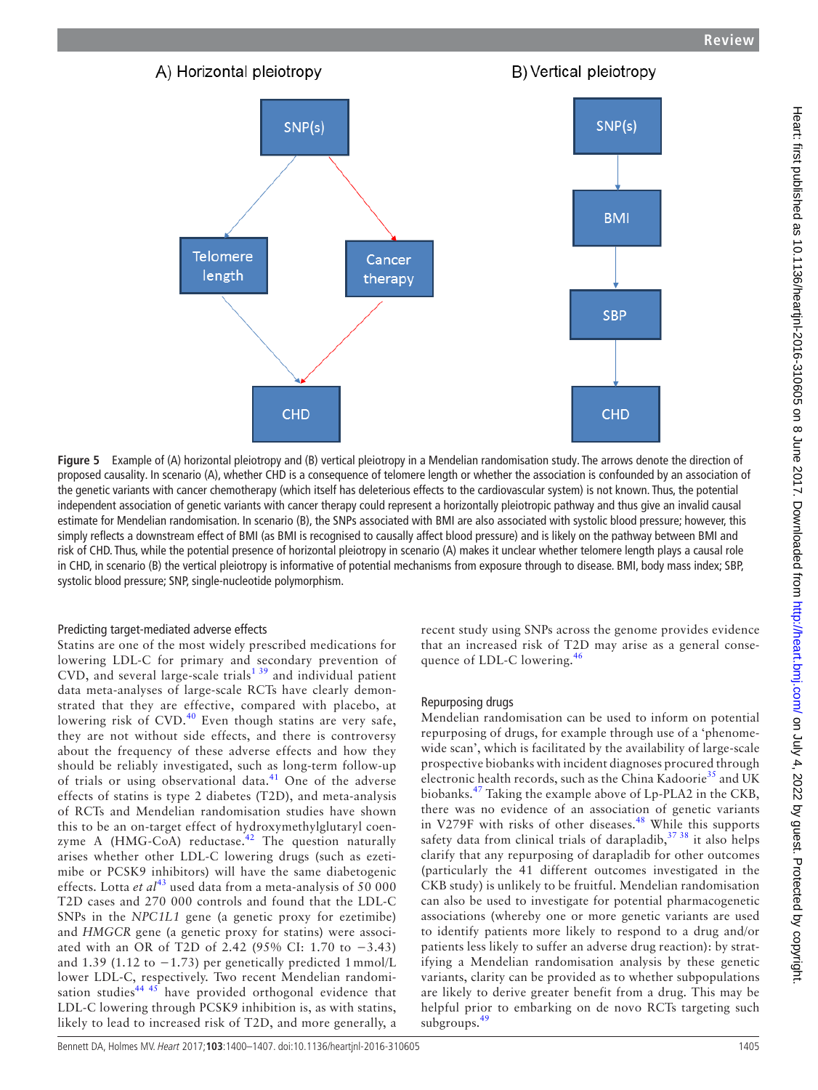![](_page_5_Figure_1.jpeg)

<span id="page-5-0"></span>**Figure 5** Example of (A) horizontal pleiotropy and (B) vertical pleiotropy in a Mendelian randomisation study. The arrows denote the direction of proposed causality. In scenario (A), whether CHD is a consequence of telomere length or whether the association is confounded by an association of the genetic variants with cancer chemotherapy (which itself has deleterious effects to the cardiovascular system) is not known. Thus, the potential independent association of genetic variants with cancer therapy could represent a horizontally pleiotropic pathway and thus give an invalid causal estimate for Mendelian randomisation. In scenario (B), the SNPs associated with BMI are also associated with systolic blood pressure; however, this simply reflects a downstream effect of BMI (as BMI is recognised to causally affect blood pressure) and is likely on the pathway between BMI and risk of CHD. Thus, while the potential presence of horizontal pleiotropy in scenario (A) makes it unclear whether telomere length plays a causal role in CHD, in scenario (B) the vertical pleiotropy is informative of potential mechanisms from exposure through to disease. BMI, body mass index; SBP, systolic blood pressure; SNP, single-nucleotide polymorphism.

## Predicting target-mediated adverse effects

Statins are one of the most widely prescribed medications for lowering LDL-C for primary and secondary prevention of CVD, and several large-scale trials<sup>[1 39](#page-6-0)</sup> and individual patient data meta-analyses of large-scale RCTs have clearly demonstrated that they are effective, compared with placebo, at lowering risk of CVD.<sup>40</sup> Even though statins are very safe, they are not without side effects, and there is controversy about the frequency of these adverse effects and how they should be reliably investigated, such as long-term follow-up of trials or using observational data. $41$  One of the adverse effects of statins is type 2 diabetes (T2D), and meta-analysis of RCTs and Mendelian randomisation studies have shown this to be an on-target effect of hydroxymethylglutaryl coenzyme A (HMG-CoA) reductase. $42$  The question naturally arises whether other LDL-C lowering drugs (such as ezetimibe or PCSK9 inhibitors) will have the same diabetogenic effects. Lotta *et al*<sup>[43](#page-7-0)</sup> used data from a meta-analysis of 50 000 T2D cases and 270 000 controls and found that the LDL-C SNPs in the *NPC1L1* gene (a genetic proxy for ezetimibe) and *HMGCR* gene (a genetic proxy for statins) were associated with an OR of T2D of 2.42 (95% CI: 1.70 to −3.43) and 1.39 (1.12 to  $-1.73$ ) per genetically predicted 1 mmol/L lower LDL-C, respectively. Two recent Mendelian randomisation studies<sup> $44, 45$ </sup> have provided orthogonal evidence that LDL-C lowering through PCSK9 inhibition is, as with statins, likely to lead to increased risk of T2D, and more generally, a

recent study using SNPs across the genome provides evidence that an increased risk of T2D may arise as a general consequence of LDL-C lowering.[46](#page-7-2)

## Repurposing drugs

Mendelian randomisation can be used to inform on potential repurposing of drugs, for example through use of a 'phenomewide scan', which is facilitated by the availability of large-scale prospective biobanks with incident diagnoses procured through electronic health records, such as the China Kadoorie<sup>35</sup> and UK biobanks.[47](#page-7-3) Taking the example above of Lp-PLA2 in the CKB, there was no evidence of an association of genetic variants in V279F with risks of other diseases. $48$  While this supports safety data from clinical trials of darapladib, $3738$  it also helps clarify that any repurposing of darapladib for other outcomes (particularly the 41 different outcomes investigated in the CKB study) is unlikely to be fruitful. Mendelian randomisation can also be used to investigate for potential pharmacogenetic associations (whereby one or more genetic variants are used to identify patients more likely to respond to a drug and/or patients less likely to suffer an adverse drug reaction): by stratifying a Mendelian randomisation analysis by these genetic variants, clarity can be provided as to whether subpopulations are likely to derive greater benefit from a drug. This may be helpful prior to embarking on de novo RCTs targeting such subgroups. $49$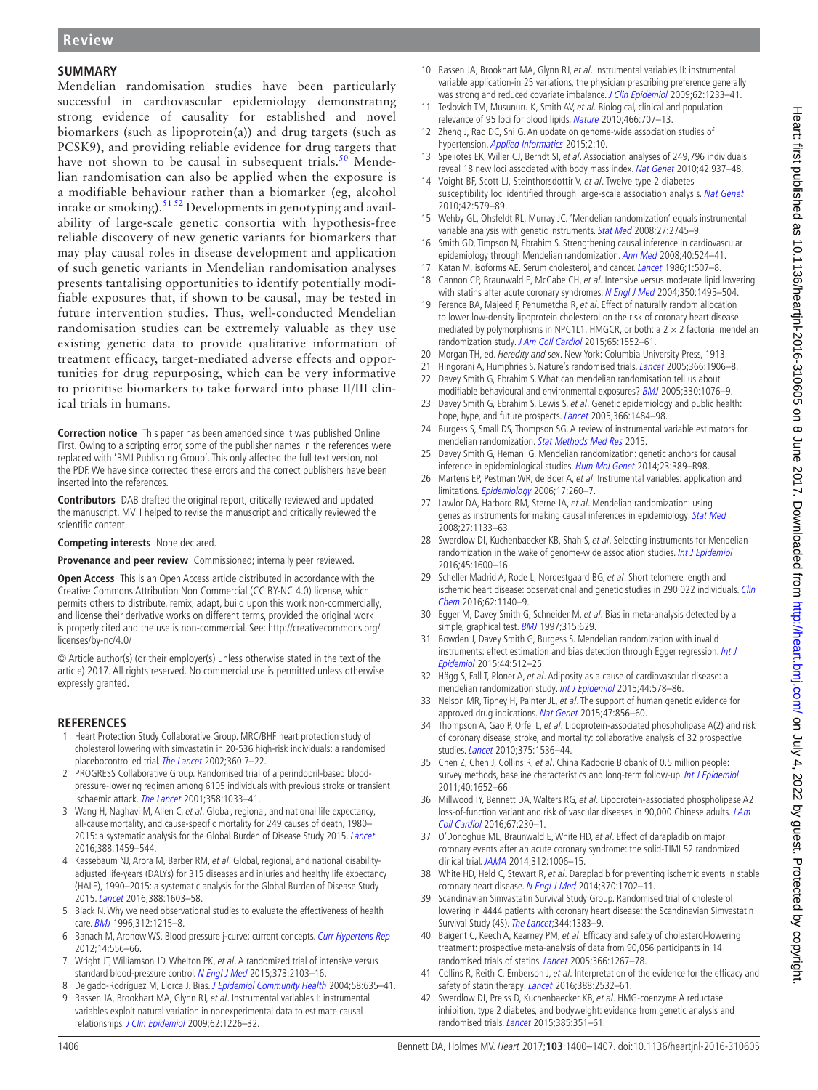## **Summary**

Mendelian randomisation studies have been particularly successful in cardiovascular epidemiology demonstrating strong evidence of causality for established and novel biomarkers (such as lipoprotein(a)) and drug targets (such as PCSK9), and providing reliable evidence for drug targets that have not shown to be causal in subsequent trials.<sup>50</sup> Mendelian randomisation can also be applied when the exposure is a modifiable behaviour rather than a biomarker (eg, alcohol intake or smoking).  $5152$  Developments in genotyping and availability of large-scale genetic consortia with hypothesis-free reliable discovery of new genetic variants for biomarkers that may play causal roles in disease development and application of such genetic variants in Mendelian randomisation analyses presents tantalising opportunities to identify potentially modifiable exposures that, if shown to be causal, may be tested in future intervention studies. Thus, well-conducted Mendelian randomisation studies can be extremely valuable as they use existing genetic data to provide qualitative information of treatment efficacy, target-mediated adverse effects and opportunities for drug repurposing, which can be very informative to prioritise biomarkers to take forward into phase II/III clinical trials in humans.

**Correction notice** This paper has been amended since it was published Online First. Owing to a scripting error, some of the publisher names in the references were replaced with 'BMJ Publishing Group'. This only affected the full text version, not the PDF. We have since corrected these errors and the correct publishers have been inserted into the references.

**Contributors** DAB drafted the original report, critically reviewed and updated the manuscript. MVH helped to revise the manuscript and critically reviewed the scientific content.

**Competing interests** None declared.

Provenance and peer review Commissioned; internally peer reviewed.

**Open Access** This is an Open Access article distributed in accordance with the Creative Commons Attribution Non Commercial (CC BY-NC 4.0) license, which permits others to distribute, remix, adapt, build upon this work non-commercially, and license their derivative works on different terms, provided the original work is properly cited and the use is non-commercial. See: [http://creativecommons.org/](http://creativecommons.org/licenses/by-nc/4.0/) [licenses/by-nc/4.0/](http://creativecommons.org/licenses/by-nc/4.0/)

© Article author(s) (or their employer(s) unless otherwise stated in the text of the article) 2017. All rights reserved. No commercial use is permitted unless otherwise expressly granted.

## **References**

- <span id="page-6-0"></span>1 Heart Protection Study Collaborative Group. MRC/BHF heart protection study of cholesterol lowering with simvastatin in 20-536 high-risk individuals: a randomised placebocontrolled trial. The Lancet 2002;360:7–22.
- 2 PROGRESS Collaborative Group. Randomised trial of a perindopril-based bloodpressure-lowering regimen among 6105 individuals with previous stroke or transient ischaemic attack. The Lancet 2001;358:1033–41.
- <span id="page-6-1"></span>3 Wang H, Naghavi M, Allen C, et al. Global, regional, and national life expectancy, all-cause mortality, and cause-specific mortality for 249 causes of death, 1980– 2015: a systematic analysis for the Global Burden of Disease Study 2015. [Lancet](http://dx.doi.org/10.1016/S0140-6736(16)31012-1) 2016;388:1459–544.
- <span id="page-6-2"></span>4 Kassebaum NJ, Arora M, Barber RM, et al. Global, regional, and national disabilityadjusted life-years (DALYs) for 315 diseases and injuries and healthy life expectancy (HALE), 1990–2015: a systematic analysis for the Global Burden of Disease Study 2015. [Lancet](http://dx.doi.org/10.1016/S0140-6736(16)31460-X) 2016;388:1603–58.
- <span id="page-6-3"></span>5 Black N. Why we need observational studies to evaluate the effectiveness of health care. **BMJ** 1996:312:1215-8.
- <span id="page-6-4"></span>6 Banach M, Aronow WS. Blood pressure j-curve: current concepts. [Curr Hypertens Rep](http://dx.doi.org/10.1007/s11906-012-0314-3) 2012;14:556–66.
- <span id="page-6-5"></span>7 Wright JT, Williamson JD, Whelton PK, et al. A randomized trial of intensive versus standard blood-pressure control. [N Engl J Med](http://dx.doi.org/10.1056/NEJMoa1511939) 2015;373:2103-16.
- <span id="page-6-6"></span>8 Delgado-Rodríguez M, Llorca J. Bias. J Epidemiol Community Health 2004;58:635-41.
- <span id="page-6-7"></span>Rassen JA, Brookhart MA, Glynn RJ, et al. Instrumental variables I: instrumental variables exploit natural variation in nonexperimental data to estimate causal relationships. [J Clin Epidemiol](http://dx.doi.org/10.1016/j.jclinepi.2008.12.005) 2009;62:1226–32.
- 10 Rassen JA, Brookhart MA, Glynn RJ, et al. Instrumental variables II: instrumental variable application-in 25 variations, the physician prescribing preference generally was strong and reduced covariate imbalance. [J Clin Epidemiol](http://dx.doi.org/10.1016/j.jclinepi.2008.12.006) 2009;62:1233-41.
- <span id="page-6-8"></span>11 Teslovich TM, Musunuru K, Smith AV, et al. Biological, clinical and population relevance of 95 loci for blood lipids. [Nature](http://dx.doi.org/10.1038/nature09270) 2010;466:707–13.
- 12 Zheng J, Rao DC, Shi G. An update on genome-wide association studies of hypertension. Applied Informatics 2015;2:10.
- 13 Speliotes EK, Willer CJ, Berndt SI, et al. Association analyses of 249,796 individuals reveal 18 new loci associated with body mass index. [Nat Genet](http://dx.doi.org/10.1038/ng.686) 2010;42:937-48.
- 14 Voight BF, Scott LJ, Steinthorsdottir V, et al. Twelve type 2 diabetes susceptibility loci identified through large-scale association analysis. [Nat Genet](http://dx.doi.org/10.1038/ng.609) 2010;42:579–89.
- <span id="page-6-9"></span>15 Wehby GL, Ohsfeldt RL, Murray JC. 'Mendelian randomization' equals instrumental variable analysis with genetic instruments. [Stat Med](http://dx.doi.org/10.1002/sim.3255) 2008;27:2745-9
- <span id="page-6-11"></span>16 Smith GD, Timpson N, Ebrahim S. Strengthening causal inference in cardiovascular epidemiology through Mendelian randomization. [Ann Med](http://dx.doi.org/10.1080/07853890802010709) 2008;40:524-41.
- <span id="page-6-10"></span>17 Katan M, isoforms AE. Serum cholesterol, and cancer. Lancet 1986;1:507-8.
- <span id="page-6-12"></span>18 Cannon CP, Braunwald E, McCabe CH, et al. Intensive versus moderate lipid lowering with statins after acute coronary syndromes. [N Engl J Med](http://dx.doi.org/10.1056/NEJMoa040583) 2004;350:1495-504.
- <span id="page-6-13"></span>19 Ference BA, Majeed F, Penumetcha R, et al. Effect of naturally random allocation to lower low-density lipoprotein cholesterol on the risk of coronary heart disease mediated by polymorphisms in NPC1L1, HMGCR, or both: a  $2 \times 2$  factorial mendelian randomization study. [J Am Coll Cardiol](http://dx.doi.org/10.1016/j.jacc.2015.02.020) 2015;65:1552–61.
- <span id="page-6-14"></span>20 Morgan TH, ed. Heredity and sex. New York: Columbia University Press, 1913.
- <span id="page-6-15"></span>21 Hingorani A, Humphries S. Nature's randomised trials. *[Lancet](http://dx.doi.org/10.1016/S0140-6736(05)67767-7)* 2005;366:1906-8.
- <span id="page-6-16"></span>22 Davey Smith G, Ebrahim S. What can mendelian randomisation tell us about modifiable behavioural and environmental exposures? [BMJ](http://dx.doi.org/10.1136/bmj.330.7499.1076) 2005;330:1076-9.
- <span id="page-6-20"></span>23 Davey Smith G, Ebrahim S, Lewis S, et al. Genetic epidemiology and public health: hope, hype, and future prospects. *[Lancet](http://dx.doi.org/10.1016/S0140-6736(05)67601-5)* 2005;366:1484-98.
- <span id="page-6-17"></span>24 Burgess S, Small DS, Thompson SG. A review of instrumental variable estimators for mendelian randomization. [Stat Methods Med Res](http://dx.doi.org/10.1177/0962280215597579) 2015.
- <span id="page-6-18"></span>25 Davey Smith G, Hemani G. Mendelian randomization: genetic anchors for causal inference in epidemiological studies. [Hum Mol Genet](http://dx.doi.org/10.1093/hmg/ddu328) 2014;23:R89-R98.
- <span id="page-6-19"></span>26 Martens EP, Pestman WR, de Boer A, et al. Instrumental variables: application and limitations. **[Epidemiology](http://dx.doi.org/10.1097/01.ede.0000215160.88317.cb)** 2006;17:260-7.
- 27 Lawlor DA, Harbord RM, Sterne JA, et al. Mendelian randomization: using genes as instruments for making causal inferences in epidemiology. [Stat Med](http://dx.doi.org/10.1002/sim.3034) 2008;27:1133–63.
- <span id="page-6-21"></span>28 Swerdlow DI, Kuchenbaecker KB, Shah S, et al. Selecting instruments for Mendelian randomization in the wake of genome-wide association studies. [Int J Epidemiol](http://dx.doi.org/10.1093/ije/dyw088) 2016;45:1600–16.
- <span id="page-6-22"></span>29 Scheller Madrid A, Rode L, Nordestgaard BG, et al. Short telomere length and ischemic heart disease: observational and genetic studies in 290 022 individuals. Clin [Chem](http://dx.doi.org/10.1373/clinchem.2016.258566) 2016;62:1140–9.
- <span id="page-6-23"></span>30 Egger M, Davey Smith G, Schneider M, et al. Bias in meta-analysis detected by a simple, graphical test. **BMJ** 1997;315:629.
- <span id="page-6-24"></span>31 Bowden J, Davey Smith G, Burgess S. Mendelian randomization with invalid instruments: effect estimation and bias detection through Egger regression. Int J [Epidemiol](http://dx.doi.org/10.1093/ije/dyv080) 2015;44:512–25.
- <span id="page-6-25"></span>32 Hägg S, Fall T, Ploner A, et al. Adiposity as a cause of cardiovascular disease: a mendelian randomization study. [Int J Epidemiol](http://dx.doi.org/10.1093/ije/dyv094) 2015;44:578-86.
- <span id="page-6-26"></span>33 Nelson MR, Tipney H, Painter JL, et al. The support of human genetic evidence for approved drug indications. [Nat Genet](http://dx.doi.org/10.1038/ng.3314) 2015;47:856-60.
- <span id="page-6-27"></span>34 Thompson A, Gao P, Orfei L, et al. Lipoprotein-associated phospholipase A(2) and risk of coronary disease, stroke, and mortality: collaborative analysis of 32 prospective studies. [Lancet](http://dx.doi.org/10.1016/S0140-6736(10)60319-4) 2010;375:1536–44.
- <span id="page-6-28"></span>35 Chen Z, Chen J, Collins R, et al. China Kadoorie Biobank of 0.5 million people: survey methods, baseline characteristics and long-term follow-up. [Int J Epidemiol](http://dx.doi.org/10.1093/ije/dyr120) 2011;40:1652–66.
- <span id="page-6-29"></span>36 Millwood IY, Bennett DA, Walters RG, et al. Lipoprotein-associated phospholipase A2 loss-of-function variant and risk of vascular diseases in 90,000 Chinese adults. J Am [Coll Cardiol](http://dx.doi.org/10.1016/j.jacc.2015.10.056) 2016;67:230–1.
- <span id="page-6-30"></span>37 O'Donoghue ML, Braunwald E, White HD, et al. Effect of darapladib on major coronary events after an acute coronary syndrome: the solid-TIMI 52 randomized clinical trial. [JAMA](http://dx.doi.org/10.1001/jama.2014.11061) 2014;312:1006–15.
- 38 White HD, Held C, Stewart R, et al. Darapladib for preventing ischemic events in stable coronary heart disease. [N Engl J Med](http://dx.doi.org/10.1056/NEJMoa1315878) 2014;370:1702-11.
- 39 Scandinavian Simvastatin Survival Study Group. Randomised trial of cholesterol lowering in 4444 patients with coronary heart disease: the Scandinavian Simvastatin Survival Study (4S). The Lancet: 344: 1383-9.
- <span id="page-6-31"></span>40 Baigent C, Keech A, Kearney PM, et al. Efficacy and safety of cholesterol-lowering treatment: prospective meta-analysis of data from 90,056 participants in 14 randomised trials of statins. [Lancet](http://dx.doi.org/10.1016/S0140-6736(05)67394-1) 2005;366:1267–78.
- <span id="page-6-32"></span>41 Collins R, Reith C, Emberson J, et al. Interpretation of the evidence for the efficacy and safety of statin therapy. [Lancet](http://dx.doi.org/10.1016/S0140-6736(16)31357-5) 2016;388:2532-61.
- <span id="page-6-33"></span>42 Swerdlow DI, Preiss D, Kuchenbaecker KB, et al. HMG-coenzyme A reductase inhibition, type 2 diabetes, and bodyweight: evidence from genetic analysis and randomised trials. *[Lancet](http://dx.doi.org/10.1016/S0140-6736(14)61183-1)* 2015;385:351-61.